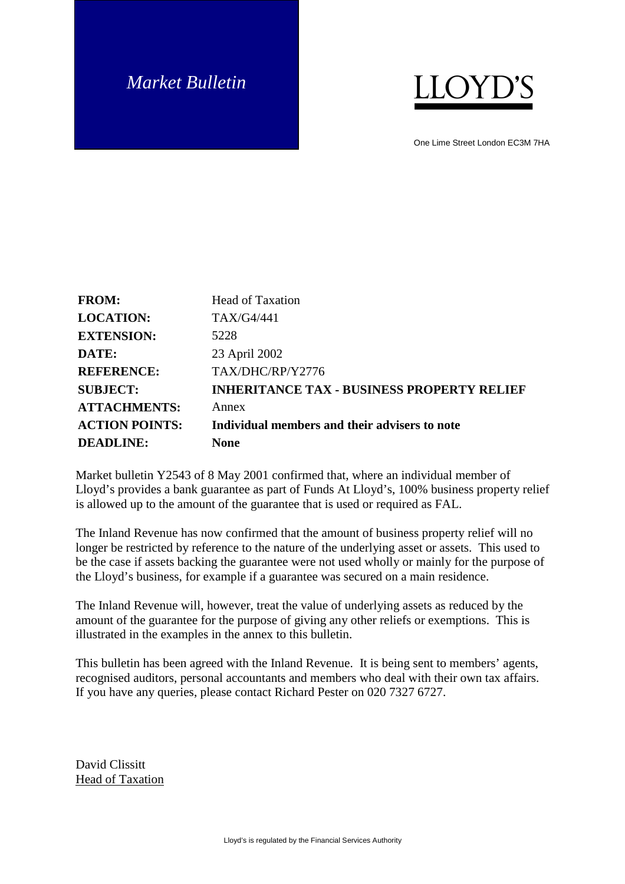## *Market Bulletin*



One Lime Street London EC3M 7HA

| <b>FROM:</b>          | <b>Head of Taxation</b>                           |
|-----------------------|---------------------------------------------------|
| <b>LOCATION:</b>      | TAX/G4/441                                        |
| <b>EXTENSION:</b>     | 5228                                              |
| DATE:                 | 23 April 2002                                     |
| <b>REFERENCE:</b>     | TAX/DHC/RP/Y2776                                  |
| <b>SUBJECT:</b>       | <b>INHERITANCE TAX - BUSINESS PROPERTY RELIEF</b> |
| <b>ATTACHMENTS:</b>   | Annex                                             |
| <b>ACTION POINTS:</b> | Individual members and their advisers to note     |
| <b>DEADLINE:</b>      | None                                              |

Market bulletin Y2543 of 8 May 2001 confirmed that, where an individual member of Lloyd's provides a bank guarantee as part of Funds At Lloyd's, 100% business property relief is allowed up to the amount of the guarantee that is used or required as FAL.

The Inland Revenue has now confirmed that the amount of business property relief will no longer be restricted by reference to the nature of the underlying asset or assets. This used to be the case if assets backing the guarantee were not used wholly or mainly for the purpose of the Lloyd's business, for example if a guarantee was secured on a main residence.

The Inland Revenue will, however, treat the value of underlying assets as reduced by the amount of the guarantee for the purpose of giving any other reliefs or exemptions. This is illustrated in the examples in the annex to this bulletin.

This bulletin has been agreed with the Inland Revenue. It is being sent to members' agents, recognised auditors, personal accountants and members who deal with their own tax affairs. If you have any queries, please contact Richard Pester on 020 7327 6727.

David Clissitt Head of Taxation